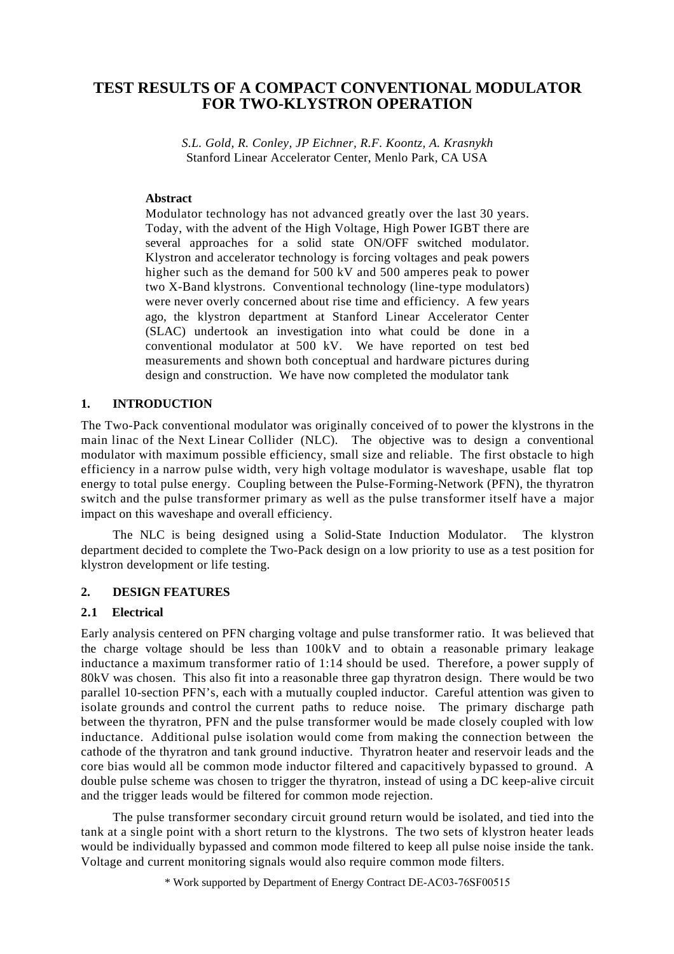# **TEST RESULTS OF A COMPACT CONVENTIONAL MODULATOR FOR TWO-KLYSTRON OPERATION**

*S.L. Gold, R. Conley, JP Eichner, R.F. Koontz, A. Krasnykh* Stanford Linear Accelerator Center, Menlo Park, CA USA

### **Abstract**

Modulator technology has not advanced greatly over the last 30 years. Today, with the advent of the High Voltage, High Power IGBT there are several approaches for a solid state ON/OFF switched modulator. Klystron and accelerator technology is forcing voltages and peak powers higher such as the demand for 500 kV and 500 amperes peak to power two X-Band klystrons. Conventional technology (line-type modulators) were never overly concerned about rise time and efficiency. A few years ago, the klystron department at Stanford Linear Accelerator Center (SLAC) undertook an investigation into what could be done in a conventional modulator at 500 kV. We have reported on test bed measurements and shown both conceptual and hardware pictures during design and construction. We have now completed the modulator tank

### **1. INTRODUCTION**

The Two-Pack conventional modulator was originally conceived of to power the klystrons in the main linac of the Next Linear Collider (NLC). The objective was to design a conventional modulator with maximum possible efficiency, small size and reliable. The first obstacle to high efficiency in a narrow pulse width, very high voltage modulator is waveshape, usable flat top energy to total pulse energy. Coupling between the Pulse-Forming-Network (PFN), the thyratron switch and the pulse transformer primary as well as the pulse transformer itself have a major impact on this waveshape and overall efficiency.

The NLC is being designed using a Solid-State Induction Modulator. The klystron department decided to complete the Two-Pack design on a low priority to use as a test position for klystron development or life testing.

#### **2. DESIGN FEATURES**

### **2.1 Electrical**

Early analysis centered on PFN charging voltage and pulse transformer ratio. It was believed that the charge voltage should be less than 100kV and to obtain a reasonable primary leakage inductance a maximum transformer ratio of 1:14 should be used. Therefore, a power supply of 80kV was chosen. This also fit into a reasonable three gap thyratron design. There would be two parallel 10-section PFN's, each with a mutually coupled inductor. Careful attention was given to isolate grounds and control the current paths to reduce noise. The primary discharge path between the thyratron, PFN and the pulse transformer would be made closely coupled with low inductance. Additional pulse isolation would come from making the connection between the cathode of the thyratron and tank ground inductive. Thyratron heater and reservoir leads and the core bias would all be common mode inductor filtered and capacitively bypassed to ground. A double pulse scheme was chosen to trigger the thyratron, instead of using a DC keep-alive circuit and the trigger leads would be filtered for common mode rejection.

The pulse transformer secondary circuit ground return would be isolated, and tied into the tank at a single point with a short return to the klystrons. The two sets of klystron heater leads would be individually bypassed and common mode filtered to keep all pulse noise inside the tank. Voltage and current monitoring signals would also require common mode filters.

\* Work supported by Department of Energy Contract DE-AC03-76SF00515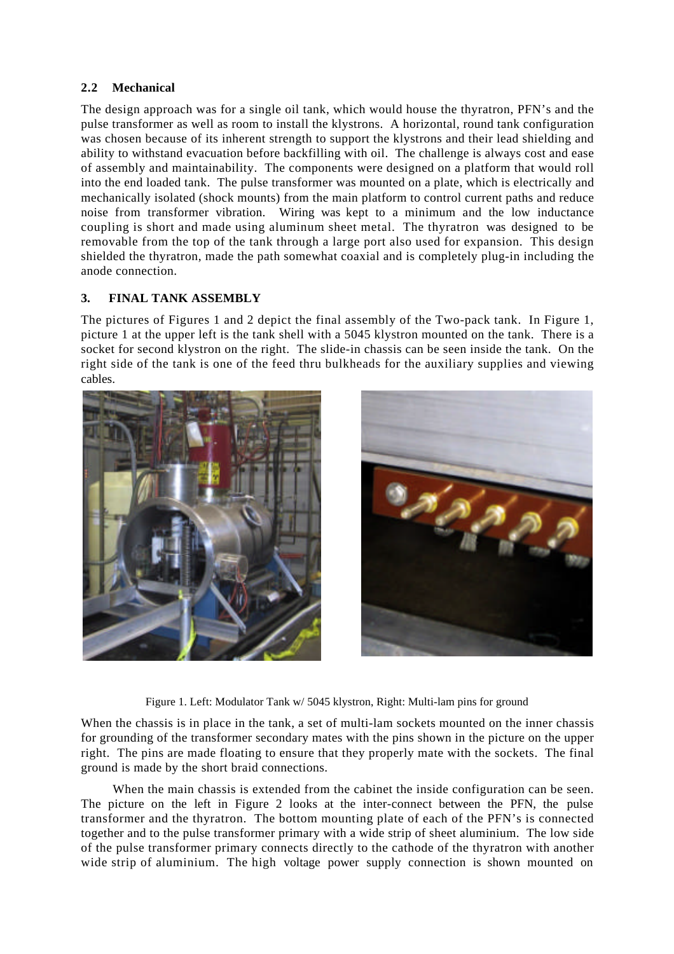## **2.2 Mechanical**

The design approach was for a single oil tank, which would house the thyratron, PFN's and the pulse transformer as well as room to install the klystrons. A horizontal, round tank configuration was chosen because of its inherent strength to support the klystrons and their lead shielding and ability to withstand evacuation before backfilling with oil. The challenge is always cost and ease of assembly and maintainability. The components were designed on a platform that would roll into the end loaded tank. The pulse transformer was mounted on a plate, which is electrically and mechanically isolated (shock mounts) from the main platform to control current paths and reduce noise from transformer vibration. Wiring was kept to a minimum and the low inductance coupling is short and made using aluminum sheet metal. The thyratron was designed to be removable from the top of the tank through a large port also used for expansion. This design shielded the thyratron, made the path somewhat coaxial and is completely plug-in including the anode connection.

## **3. FINAL TANK ASSEMBLY**

The pictures of Figures 1 and 2 depict the final assembly of the Two-pack tank. In Figure 1, picture 1 at the upper left is the tank shell with a 5045 klystron mounted on the tank. There is a socket for second klystron on the right. The slide-in chassis can be seen inside the tank. On the right side of the tank is one of the feed thru bulkheads for the auxiliary supplies and viewing cables.



Figure 1. Left: Modulator Tank w/ 5045 klystron, Right: Multi-lam pins for ground

When the chassis is in place in the tank, a set of multi-lam sockets mounted on the inner chassis for grounding of the transformer secondary mates with the pins shown in the picture on the upper right. The pins are made floating to ensure that they properly mate with the sockets. The final ground is made by the short braid connections.

When the main chassis is extended from the cabinet the inside configuration can be seen. The picture on the left in Figure 2 looks at the inter-connect between the PFN, the pulse transformer and the thyratron. The bottom mounting plate of each of the PFN's is connected together and to the pulse transformer primary with a wide strip of sheet aluminium. The low side of the pulse transformer primary connects directly to the cathode of the thyratron with another wide strip of aluminium. The high voltage power supply connection is shown mounted on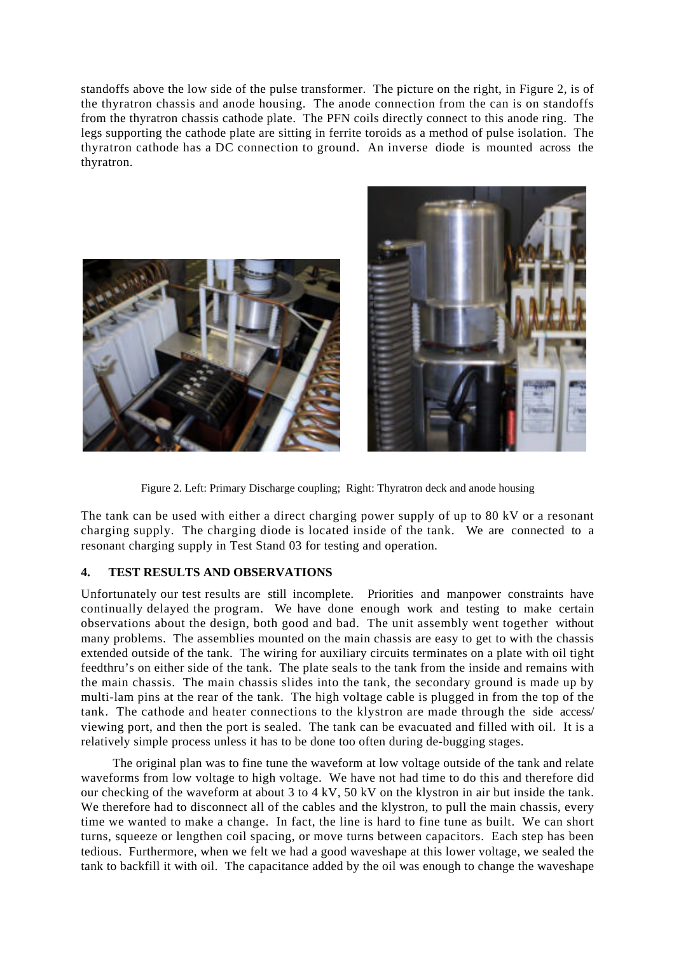standoffs above the low side of the pulse transformer. The picture on the right, in Figure 2, is of the thyratron chassis and anode housing. The anode connection from the can is on standoffs from the thyratron chassis cathode plate. The PFN coils directly connect to this anode ring. The legs supporting the cathode plate are sitting in ferrite toroids as a method of pulse isolation. The thyratron cathode has a DC connection to ground. An inverse diode is mounted across the thyratron.





Figure 2. Left: Primary Discharge coupling; Right: Thyratron deck and anode housing

The tank can be used with either a direct charging power supply of up to 80 kV or a resonant charging supply. The charging diode is located inside of the tank. We are connected to a resonant charging supply in Test Stand 03 for testing and operation.

## **4. TEST RESULTS AND OBSERVATIONS**

Unfortunately our test results are still incomplete. Priorities and manpower constraints have continually delayed the program. We have done enough work and testing to make certain observations about the design, both good and bad. The unit assembly went together without many problems. The assemblies mounted on the main chassis are easy to get to with the chassis extended outside of the tank. The wiring for auxiliary circuits terminates on a plate with oil tight feedthru's on either side of the tank. The plate seals to the tank from the inside and remains with the main chassis. The main chassis slides into the tank, the secondary ground is made up by multi-lam pins at the rear of the tank. The high voltage cable is plugged in from the top of the tank. The cathode and heater connections to the klystron are made through the side access/ viewing port, and then the port is sealed. The tank can be evacuated and filled with oil. It is a relatively simple process unless it has to be done too often during de-bugging stages.

The original plan was to fine tune the waveform at low voltage outside of the tank and relate waveforms from low voltage to high voltage. We have not had time to do this and therefore did our checking of the waveform at about 3 to 4 kV, 50 kV on the klystron in air but inside the tank. We therefore had to disconnect all of the cables and the klystron, to pull the main chassis, every time we wanted to make a change. In fact, the line is hard to fine tune as built. We can short turns, squeeze or lengthen coil spacing, or move turns between capacitors. Each step has been tedious. Furthermore, when we felt we had a good waveshape at this lower voltage, we sealed the tank to backfill it with oil. The capacitance added by the oil was enough to change the waveshape